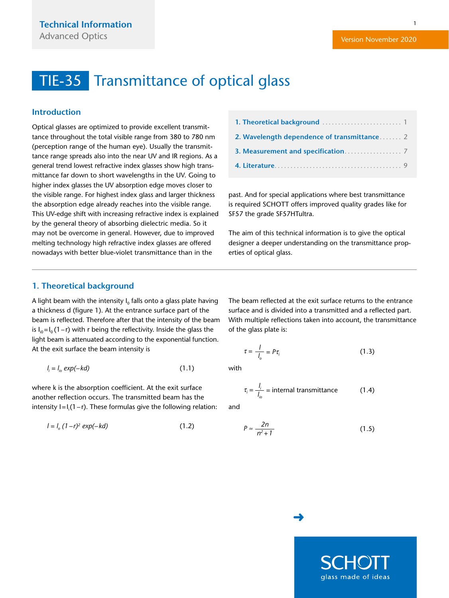1

## <span id="page-0-0"></span>TIE-35 Transmittance of optical glass

### **Introduction**

Optical glasses are optimized to provide excellent transmittance throughout the total visible range from 380 to 780 nm (perception range of the human eye). Usually the transmittance range spreads also into the near UV and IR regions. As a general trend lowest refractive index glasses show high transmittance far down to short wavelengths in the UV. Going to higher index glasses the UV absorption edge moves closer to the visible range. For highest index glass and larger thickness the absorption edge already reaches into the visible range. This UV-edge shift with increasing refractive index is explained by the general theory of absorbing dielectric media. So it may not be overcome in general. However, due to improved melting technology high refractive index glasses are offered nowadays with better blue-violet transmittance than in the

past. And for special applications where best transmittance is required SCHOTT offers improved quality grades like for SF57 the grade SF57HTultra.

The aim of this technical information is to give the optical designer a deeper understanding on the transmittance properties of optical glass.

### **1. Theoretical background**

A light beam with the intensity  $I_0$  falls onto a glass plate having a thickness d (figure 1). At the entrance surface part of the beam is reflected. Therefore after that the intensity of the beam is  $I_{i0} = I_0 (1-r)$  with r being the reflectivity. Inside the glass the light beam is attenuated according to the exponential function. At the exit surface the beam intensity is

$$
l_i = l_{io} \exp(-kd) \tag{1.1}
$$

where k is the absorption coefficient. At the exit surface another reflection occurs. The transmitted beam has the  $\frac{1}{2}$  intensity I=I<sub>i</sub>(1-r). These formulas give the following relation:

$$
I = I_0 (1 - r)^2 \exp(-kd)
$$
 (1.2)

The beam reflected at the exit surface returns to the entrance surface and is divided into a transmitted and a reflected part. With multiple reflections taken into account, the transmittance of the glass plate is:

$$
\tau = \frac{l}{l_o} = P \tau_i \tag{1.3}
$$

with

$$
\tau_i = \frac{I_i}{I_{io}} = \text{internal transmittance} \tag{1.4}
$$

and

$$
P \approx \frac{2n}{n^2 + 1} \tag{1.5}
$$

[➜](#page-1-0)

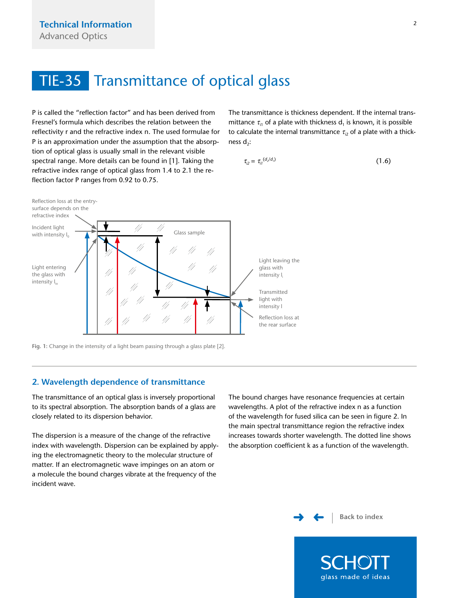<span id="page-1-0"></span>P is called the "reflection factor" and has been derived from Fresnel's formula which describes the relation between the reflectivity r and the refractive index n. The used formulae for P is an approximation under the assumption that the absorption of optical glass is usually small in the relevant visible spectral range. More details can be found in [1]. Taking the refractive index range of optical glass from 1.4 to 2.1 the reflection factor P ranges from 0.92 to 0.75.

The transmittance is thickness dependent. If the internal transmittance  $\tau_{11}$  of a plate with thickness d<sub>1</sub> is known, it is possible to calculate the internal transmittance  $\tau_{i2}$  of a plate with a thickness  $d_2$ :

$$
\tau_{i2} = \tau_{i1}^{(d_2/d_1)} \tag{1.6}
$$



**Fig. 1:** Change in the intensity of a light beam passing through a glass plate [2].

### **2. Wavelength dependence of transmittance**

The transmittance of an optical glass is inversely proportional to its spectral absorption. The absorption bands of a glass are closely related to its dispersion behavior.

The dispersion is a measure of the change of the refractive index with wavelength. Dispersion can be explained by applying the electromagnetic theory to the molecular structure of matter. If an electromagnetic wave impinges on an atom or a molecule the bound charges vibrate at the frequency of the incident wave.

The bound charges have resonance frequencies at certain wavelengths. A plot of the refractive index n as a function of the wavelength for fused silica can be seen in figure 2. In the main spectral transmittance region the refractive index increases towards shorter wavelength. The dotted line shows the absorption coefficient k as a function of the wavelength.

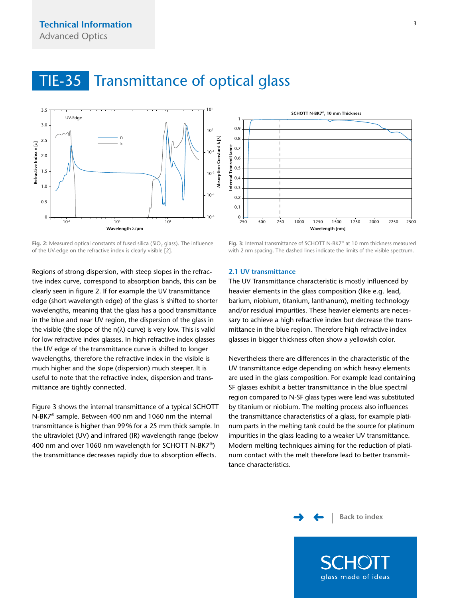<span id="page-2-0"></span>

Fig. 2: Measured optical constants of fused silica (SiO<sub>2</sub> glass). The influence of the UV-edge on the refractive index is clearly visible [2].



0.6 0.7 0.8  $0<sup>9</sup>$ 1

Regions of strong dispersion, with steep slopes in the refractive index curve, correspond to absorption bands, this can be clearly seen in figure 2. If for example the UV transmittance edge (short wavelength edge) of the glass is shifted to shorter wavelengths, meaning that the glass has a good transmittance in the blue and near UV region, the dispersion of the glass in the visible (the slope of the n( $\lambda$ ) curve) is very low. This is valid for low refractive index glasses. In high refractive index glasses the UV edge of the transmittance curve is shifted to longer wavelengths, therefore the refractive index in the visible is much higher and the slope (dispersion) much steeper. It is useful to note that the refractive index, dispersion and transmittance are tightly connected.

Figure 3 shows the internal transmittance of a typical SCHOTT N-BK7® sample. Between 400 nm and 1060 nm the internal transmittance is higher than 99% for a 25 mm thick sample. In the ultraviolet (UV) and infrared (IR) wavelength range (below 400 nm and over 1060 nm wavelength for SCHOTT N-BK7®) the transmittance decreases rapidly due to absorption effects.

#### **2.1 UV transmittance**

The UV Transmittance characteristic is mostly influenced by heavier elements in the glass composition (like e.g. lead, barium, niobium, titanium, lanthanum), melting technology and/or residual impurities. These heavier elements are necessary to achieve a high refractive index but decrease the transmittance in the blue region. Therefore high refractive index glasses in bigger thickness often show a yellowish color.

**SCHOTT N-BK7®, 10 mm Thickness**

Nevertheless there are differences in the characteristic of the UV transmittance edge depending on which heavy elements are used in the glass composition. For example lead containing SF glasses exhibit a better transmittance in the blue spectral region compared to N-SF glass types were lead was substituted by titanium or niobium. The melting process also influences the transmittance characteristics of a glass, for example platinum parts in the melting tank could be the source for platinum impurities in the glass leading to a weaker UV transmittance. Modern melting techniques aiming for the reduction of platinum contact with the melt therefore lead to better transmittance characteristics.

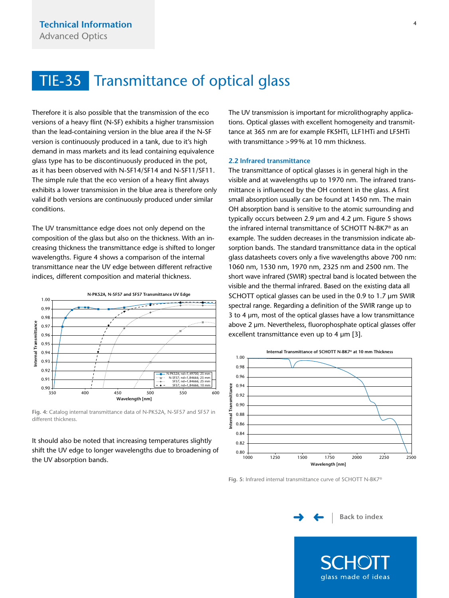<span id="page-3-0"></span>Therefore it is also possible that the transmission of the eco versions of a heavy flint (N-SF) exhibits a higher transmission than the lead-containing version in the blue area if the N-SF version is continuously produced in a tank, due to it's high demand in mass markets and its lead containing equivalence glass type has to be discontinuously produced in the pot, as it has been observed with N-SF14/SF14 and N-SF11/SF11. The simple rule that the eco version of a heavy flint always exhibits a lower transmission in the blue area is therefore only valid if both versions are continuously produced under similar conditions.

The UV transmittance edge does not only depend on the composition of the glass but also on the thickness. With an increasing thickness the transmittance edge is shifted to longer wavelengths. Figure 4 shows a comparison of the internal transmittance near the UV edge between different refractive indices, different composition and material thickness.



**Fig. 4:** Catalog internal transmittance data of N-PK52A, N-SF57 and SF57 in different thickness.

It should also be noted that increasing temperatures slightly shift the UV edge to longer wavelengths due to broadening of the UV absorption bands.

The UV transmission is important for microlithography applications. Optical glasses with excellent homogeneity and transmittance at 365 nm are for example FK5HTi, LLF1HTi and LF5HTi with transmittance >99% at 10 mm thickness.

### **2.2 Infrared transmittance**

The transmittance of optical glasses is in general high in the visible and at wavelengths up to 1970 nm. The infrared transmittance is influenced by the OH content in the glass. A first small absorption usually can be found at 1450 nm. The main OH absorption band is sensitive to the atomic surrounding and typically occurs between 2.9 µm and 4.2 µm. Figure 5 shows the infrared internal transmittance of SCHOTT N-BK7® as an example. The sudden decreases in the transmission indicate absorption bands. The standard transmittance data in the optical glass datasheets covers only a five wavelengths above 700 nm: 1060 nm, 1530 nm, 1970 nm, 2325 nm and 2500 nm. The short wave infrared (SWIR) spectral band is located between the visible and the thermal infrared. Based on the existing data all SCHOTT optical glasses can be used in the 0.9 to 1.7 µm SWIR spectral range. Regarding a definition of the SWIR range up to 3 to 4 µm, most of the optical glasses have a low transmittance above 2 µm. Nevertheless, fluorophosphate optical glasses offer excellent transmittance even up to 4 µm [3].



**Fig. 5:** Infrared internal transmittance curve of SCHOTT N-BK7®

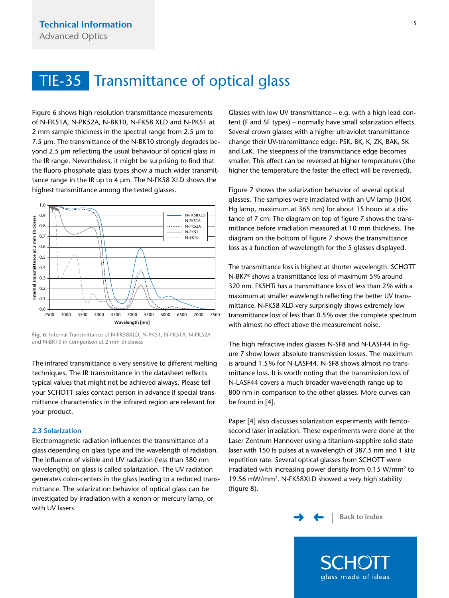<span id="page-4-0"></span>Figure 6 shows high resolution transmittance measurements of N-FK51A, N-PK52A, N-BK10, N-FK58 XLD and N-PK51 at 2 mm sample thickness in the spectral range from 2.5 µm to 7.5 µm. The transmittance of the N-BK10 strongly degrades beyond 2.5 µm reflecting the usual behaviour of optical glass in the IR range. Nevertheless, it might be surprising to find that the fluoro-phosphate glass types show a much wider transmittance range in the IR up to 4 µm. The N-FK58 XLD shows the highest transmittance among the tested glasses.



**Fig. 6:** Internal Transmittance of N-FK58XLD, N-PK51, N-FK51A, N-PK52A and N-BK10 in comparison at 2 mm thickness

The infrared transmittance is very sensitive to different melting techniques. The IR transmittance in the datasheet reflects typical values that might not be achieved always. Please tell your SCHOTT sales contact person in advance if special transmittance characteristics in the infrared region are relevant for your product.

### **2.3 Solarization**

Electromagnetic radiation influences the transmittance of a glass depending on glass type and the wavelength of radiation. The influence of visible and UV radiation (less than 380 nm wavelength) on glass is called solarization. The UV radiation generates color-centers in the glass leading to a reduced transmittance. The solarization behavior of optical glass can be investigated by irradiation with a xenon or mercury lamp, or with UV lasers.

Glasses with low UV transmittance – e.g. with a high lead content (F and SF types) – normally have small solarization effects. Several crown glasses with a higher ultraviolet transmittance change their UV-transmittance edge: PSK, BK, K, ZK, BAK, SK and LaK. The steepness of the transmittance edge becomes smaller. This effect can be reversed at higher temperatures (the higher the temperature the faster the effect will be reversed).

Figure 7 shows the solarization behavior of several optical glasses. The samples were irradiated with an UV lamp (HOK Hg lamp, maximum at 365 nm) for about 15 hours at a distance of 7 cm. The diagram on top of figure 7 shows the transmittance before irradiation measured at 10 mm thickness. The diagram on the bottom of figure 7 shows the transmittance loss as a function of wavelength for the 5 glasses displayed.

The transmittance loss is highest at shorter wavelength. SCHOTT N-BK7® shows a transmittance loss of maximum 5% around 320 nm. FK5HTi has a transmittance loss of less than 2% with a maximum at smaller wavelength reflecting the better UV transmittance. N-FK58 XLD very surprisingly shows extremely low transmittance loss of less than 0.5% over the complete spectrum with almost no effect above the measurement noise.

The high refractive index glasses N-SF8 and N-LASF44 in figure 7 show lower absolute transmission losses. The maximum is around 1.5% for N-LASF44. N-SF8 shows almost no transmittance loss. It is worth noting that the transmission loss of N-LASF44 covers a much broader wavelength range up to 800 nm in comparison to the other glasses. More curves can be found in [4].

Paper [4] also discusses solarization experiments with femtosecond laser irradiation. These experiments were done at the Laser Zentrum Hannover using a titanium-sapphire solid state laser with 150 fs pulses at a wavelength of 387.5 nm and 1 kHz repetition rate. Several optical glasses from SCHOTT were irradiated with increasing power density from 0.15 W/mm2 to 19.56 mW/mm2. N-FK58XLD showed a very high stability (figure 8).

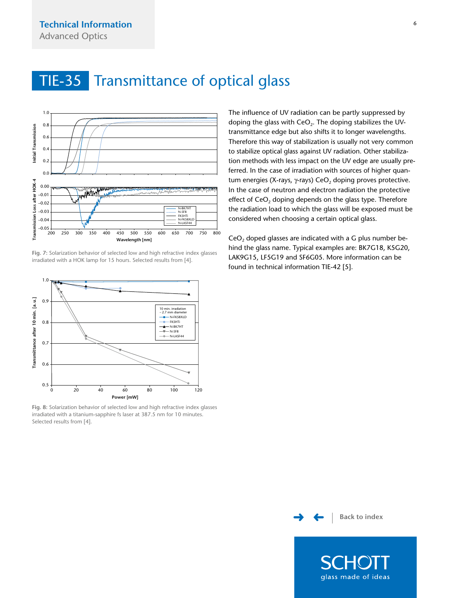<span id="page-5-0"></span>

**Fig. 7:** Solarization behavior of selected low and high refractive index glasses irradiated with a HOK lamp for 15 hours. Selected results from [4].



**Fig. 8:** Solarization behavior of selected low and high refractive index glasses irradiated with a titanium-sapphire fs laser at 387.5 nm for 10 minutes. Selected results from [4].

The influence of UV radiation can be partly suppressed by doping the glass with CeO<sub>2</sub>. The doping stabilizes the UVtransmittance edge but also shifts it to longer wavelengths. Therefore this way of stabilization is usually not very common to stabilize optical glass against UV radiation. Other stabilization methods with less impact on the UV edge are usually preferred. In the case of irradiation with sources of higher quantum energies (X-rays, γ-rays) CeO<sub>2</sub> doping proves protective. In the case of neutron and electron radiation the protective effect of  $CeO<sub>2</sub>$  doping depends on the glass type. Therefore the radiation load to which the glass will be exposed must be considered when choosing a certain optical glass.

CeO<sub>2</sub> doped glasses are indicated with a G plus number behind the glass name. Typical examples are: BK7G18, K5G20, LAK9G15, LF5G19 and SF6G05. More information can be found in technical information TIE-42 [5].

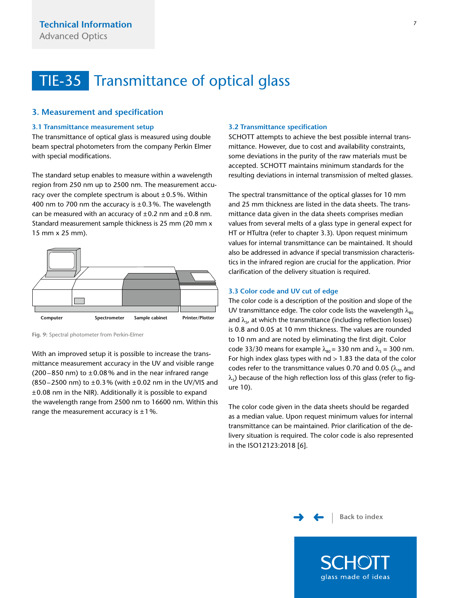### <span id="page-6-0"></span>**3. Measurement and specification**

### **3.1 Transmittance measurement setup**

The transmittance of optical glass is measured using double beam spectral photometers from the company Perkin Elmer with special modifications.

The standard setup enables to measure within a wavelength region from 250 nm up to 2500 nm. The measurement accuracy over the complete spectrum is about  $\pm 0.5$ %. Within 400 nm to 700 nm the accuracy is  $\pm$  0.3%. The wavelength can be measured with an accuracy of  $\pm 0.2$  nm and  $\pm 0.8$  nm. Standard measurement sample thickness is 25 mm (20 mm x 15 mm x 25 mm).



**Fig. 9:** Spectral photometer from Perkin-Elmer

With an improved setup it is possible to increase the transmittance measurement accuracy in the UV and visible range (200–850 nm) to  $\pm$  0.08% and in the near infrared range (850–2500 nm) to  $\pm$ 0.3% (with  $\pm$ 0.02 nm in the UV/VIS and  $\pm$ 0.08 nm in the NIR). Additionally it is possible to expand the wavelength range from 2500 nm to 16600 nm. Within this range the measurement accuracy is  $\pm 1\%$ .

#### **3.2 Transmittance specification**

SCHOTT attempts to achieve the best possible internal transmittance. However, due to cost and availability constraints, some deviations in the purity of the raw materials must be accepted. SCHOTT maintains minimum standards for the resulting deviations in internal transmission of melted glasses.

The spectral transmittance of the optical glasses for 10 mm and 25 mm thickness are listed in the data sheets. The transmittance data given in the data sheets comprises median values from several melts of a glass type in general expect for HT or HTultra (refer to chapter 3.3). Upon request minimum values for internal transmittance can be maintained. It should also be addressed in advance if special transmission characteristics in the infrared region are crucial for the application. Prior clarification of the delivery situation is required.

#### **3.3 Color code and UV cut of edge**

The color code is a description of the position and slope of the UV transmittance edge. The color code lists the wavelength  $\lambda_{so}$ and  $\lambda_{5}$ , at which the transmittance (including reflection losses) is 0.8 and 0.05 at 10 mm thickness. The values are rounded to 10 nm and are noted by eliminating the first digit. Color code 33/30 means for example  $\lambda_{80}$  = 330 nm and  $\lambda_5$  = 300 nm. For high index glass types with  $nd > 1.83$  the data of the color codes refer to the transmittance values 0.70 and 0.05 ( $\lambda_{70}$  and  $\lambda$ <sub>5</sub>) because of the high reflection loss of this glass (refer to figure 10).

The color code given in the data sheets should be regarded as a median value. Upon request minimum values for internal transmittance can be maintained. Prior clarification of the delivery situation is required. The color code is also represented in the ISO12123:2018 [6].

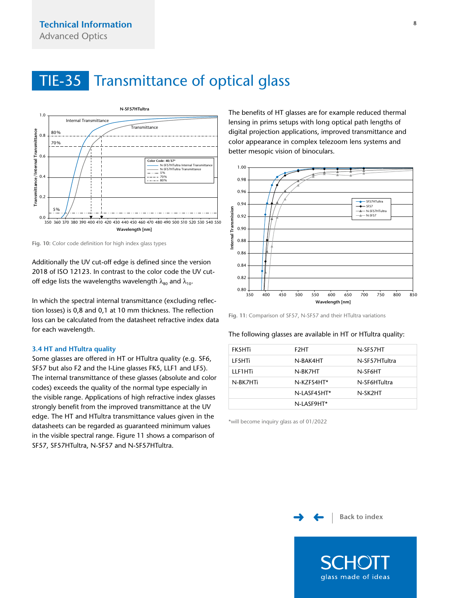<span id="page-7-0"></span>

**Fig. 10:** Color code definition for high index glass types

Additionally the UV cut-off edge is defined since the version 2018 of ISO 12123. In contrast to the color code the UV cutoff edge lists the wavelengths wavelength  $\lambda_{80}$  and  $\lambda_{10}$ .

In which the spectral internal transmittance (excluding reflection losses) is 0,8 and 0,1 at 10 mm thickness. The reflection loss can be calculated from the datasheet refractive index data for each wavelength.

#### **3.4 HT and HTultra quality**

Some glasses are offered in HT or HTultra quality (e.g. SF6, SF57 but also F2 and the I-Line glasses FK5, LLF1 and LF5). The internal transmittance of these glasses (absolute and color codes) exceeds the quality of the normal type especially in the visible range. Applications of high refractive index glasses strongly benefit from the improved transmittance at the UV edge. The HT and HTultra transmittance values given in the datasheets can be regarded as guaranteed minimum values in the visible spectral range. Figure 11 shows a comparison of SF57, SF57HTultra, N-SF57 and N-SF57HTultra.

The benefits of HT glasses are for example reduced thermal lensing in prims setups with long optical path lengths of digital projection applications, improved transmittance and color appearance in complex telezoom lens systems and better mesopic vision of binoculars.



**Fig. 11:** Comparison of SF57, N-SF57 and their HTultra variations

#### The following glasses are available in HT or HTultra quality:

| FK5HTi   | F <sub>2</sub> HT | N-SF57HT      |
|----------|-------------------|---------------|
| LF5HTi   | N-BAK4HT          | N-SF57HTultra |
| LLF1HTi  | N-BK7HT           | N-SF6HT       |
| N-BK7HTi | N-KZFS4HT*        | N-SF6HTultra  |
|          | N-LASF45HT*       | N-SK2HT       |
|          | N-LASF9HT*        |               |

\*will become inquiry glass as of 01/2022